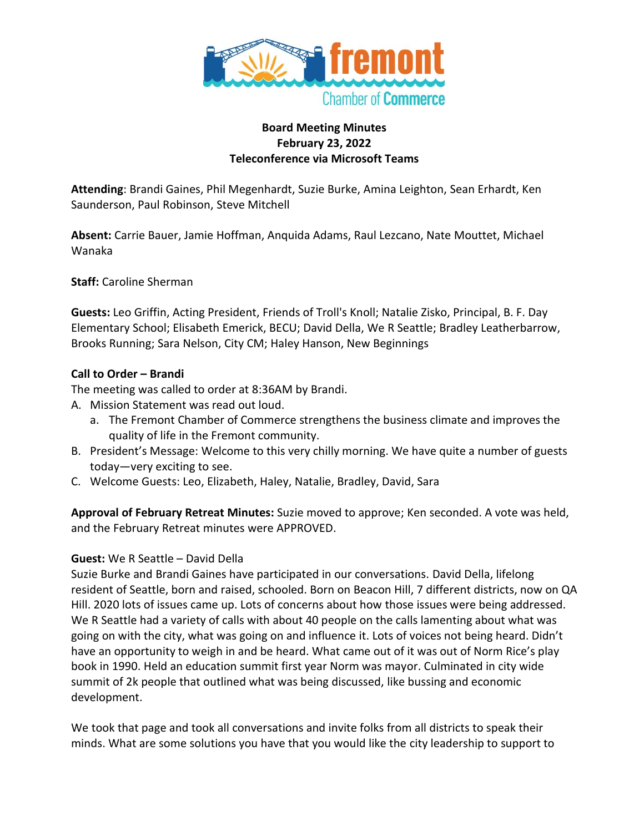

### **Board Meeting Minutes February 23, 2022 Teleconference via Microsoft Teams**

**Attending**: Brandi Gaines, Phil Megenhardt, Suzie Burke, Amina Leighton, Sean Erhardt, Ken Saunderson, Paul Robinson, Steve Mitchell

**Absent:** Carrie Bauer, Jamie Hoffman, Anquida Adams, Raul Lezcano, Nate Mouttet, Michael Wanaka

**Staff:** Caroline Sherman

**Guests:** Leo Griffin, Acting President, Friends of Troll's Knoll; Natalie Zisko, Principal, B. F. Day Elementary School; Elisabeth Emerick, BECU; David Della, We R Seattle; Bradley Leatherbarrow, Brooks Running; Sara Nelson, City CM; Haley Hanson, New Beginnings

### **Call to Order – Brandi**

The meeting was called to order at 8:36AM by Brandi.

- A. Mission Statement was read out loud.
	- a. The Fremont Chamber of Commerce strengthens the business climate and improves the quality of life in the Fremont community.
- B. President's Message: Welcome to this very chilly morning. We have quite a number of guests today—very exciting to see.
- C. Welcome Guests: Leo, Elizabeth, Haley, Natalie, Bradley, David, Sara

**Approval of February Retreat Minutes:** Suzie moved to approve; Ken seconded. A vote was held, and the February Retreat minutes were APPROVED.

### **Guest:** We R Seattle – David Della

Suzie Burke and Brandi Gaines have participated in our conversations. David Della, lifelong resident of Seattle, born and raised, schooled. Born on Beacon Hill, 7 different districts, now on QA Hill. 2020 lots of issues came up. Lots of concerns about how those issues were being addressed. We R Seattle had a variety of calls with about 40 people on the calls lamenting about what was going on with the city, what was going on and influence it. Lots of voices not being heard. Didn't have an opportunity to weigh in and be heard. What came out of it was out of Norm Rice's play book in 1990. Held an education summit first year Norm was mayor. Culminated in city wide summit of 2k people that outlined what was being discussed, like bussing and economic development.

We took that page and took all conversations and invite folks from all districts to speak their minds. What are some solutions you have that you would like the city leadership to support to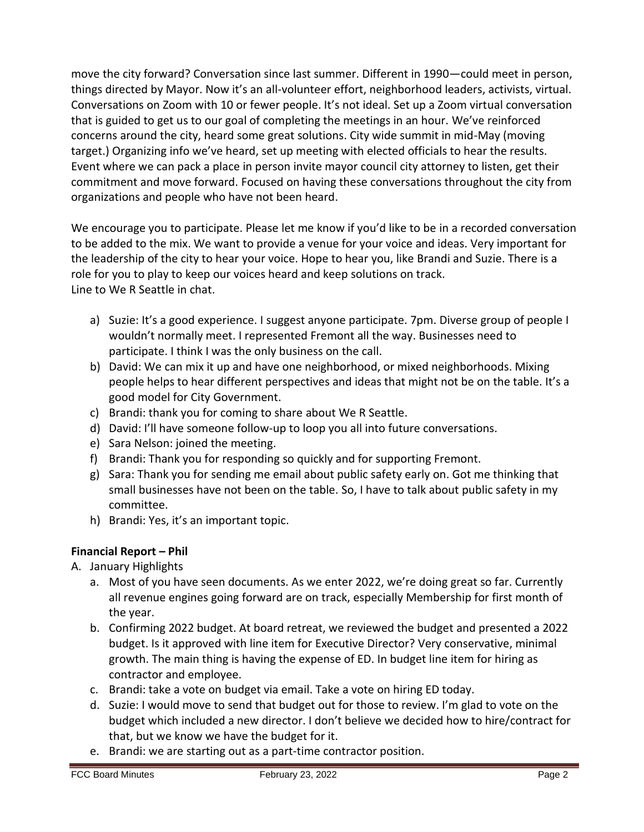move the city forward? Conversation since last summer. Different in 1990—could meet in person, things directed by Mayor. Now it's an all-volunteer effort, neighborhood leaders, activists, virtual. Conversations on Zoom with 10 or fewer people. It's not ideal. Set up a Zoom virtual conversation that is guided to get us to our goal of completing the meetings in an hour. We've reinforced concerns around the city, heard some great solutions. City wide summit in mid-May (moving target.) Organizing info we've heard, set up meeting with elected officials to hear the results. Event where we can pack a place in person invite mayor council city attorney to listen, get their commitment and move forward. Focused on having these conversations throughout the city from organizations and people who have not been heard.

We encourage you to participate. Please let me know if you'd like to be in a recorded conversation to be added to the mix. We want to provide a venue for your voice and ideas. Very important for the leadership of the city to hear your voice. Hope to hear you, like Brandi and Suzie. There is a role for you to play to keep our voices heard and keep solutions on track. Line to We R Seattle in chat.

- a) Suzie: It's a good experience. I suggest anyone participate. 7pm. Diverse group of people I wouldn't normally meet. I represented Fremont all the way. Businesses need to participate. I think I was the only business on the call.
- b) David: We can mix it up and have one neighborhood, or mixed neighborhoods. Mixing people helps to hear different perspectives and ideas that might not be on the table. It's a good model for City Government.
- c) Brandi: thank you for coming to share about We R Seattle.
- d) David: I'll have someone follow-up to loop you all into future conversations.
- e) Sara Nelson: joined the meeting.
- f) Brandi: Thank you for responding so quickly and for supporting Fremont.
- g) Sara: Thank you for sending me email about public safety early on. Got me thinking that small businesses have not been on the table. So, I have to talk about public safety in my committee.
- h) Brandi: Yes, it's an important topic.

# **Financial Report – Phil**

- A. January Highlights
	- a. Most of you have seen documents. As we enter 2022, we're doing great so far. Currently all revenue engines going forward are on track, especially Membership for first month of the year.
	- b. Confirming 2022 budget. At board retreat, we reviewed the budget and presented a 2022 budget. Is it approved with line item for Executive Director? Very conservative, minimal growth. The main thing is having the expense of ED. In budget line item for hiring as contractor and employee.
	- c. Brandi: take a vote on budget via email. Take a vote on hiring ED today.
	- d. Suzie: I would move to send that budget out for those to review. I'm glad to vote on the budget which included a new director. I don't believe we decided how to hire/contract for that, but we know we have the budget for it.
	- e. Brandi: we are starting out as a part-time contractor position.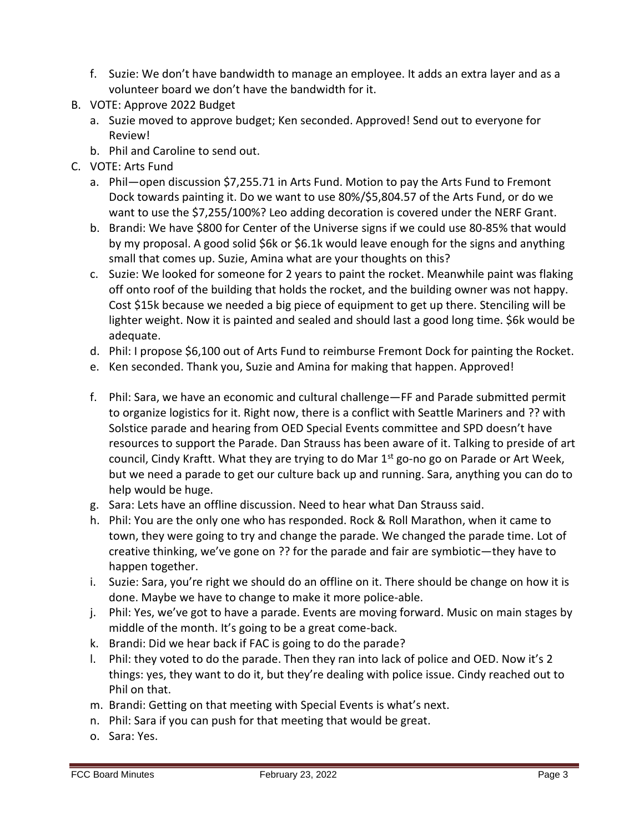- f. Suzie: We don't have bandwidth to manage an employee. It adds an extra layer and as a volunteer board we don't have the bandwidth for it.
- B. VOTE: Approve 2022 Budget
	- a. Suzie moved to approve budget; Ken seconded. Approved! Send out to everyone for Review!
	- b. Phil and Caroline to send out.
- C. VOTE: Arts Fund
	- a. Phil—open discussion \$7,255.71 in Arts Fund. Motion to pay the Arts Fund to Fremont Dock towards painting it. Do we want to use 80%/\$5,804.57 of the Arts Fund, or do we want to use the \$7,255/100%? Leo adding decoration is covered under the NERF Grant.
	- b. Brandi: We have \$800 for Center of the Universe signs if we could use 80-85% that would by my proposal. A good solid \$6k or \$6.1k would leave enough for the signs and anything small that comes up. Suzie, Amina what are your thoughts on this?
	- c. Suzie: We looked for someone for 2 years to paint the rocket. Meanwhile paint was flaking off onto roof of the building that holds the rocket, and the building owner was not happy. Cost \$15k because we needed a big piece of equipment to get up there. Stenciling will be lighter weight. Now it is painted and sealed and should last a good long time. \$6k would be adequate.
	- d. Phil: I propose \$6,100 out of Arts Fund to reimburse Fremont Dock for painting the Rocket.
	- e. Ken seconded. Thank you, Suzie and Amina for making that happen. Approved!
	- f. Phil: Sara, we have an economic and cultural challenge—FF and Parade submitted permit to organize logistics for it. Right now, there is a conflict with Seattle Mariners and ?? with Solstice parade and hearing from OED Special Events committee and SPD doesn't have resources to support the Parade. Dan Strauss has been aware of it. Talking to preside of art council, Cindy Kraftt. What they are trying to do Mar 1<sup>st</sup> go-no go on Parade or Art Week, but we need a parade to get our culture back up and running. Sara, anything you can do to help would be huge.
	- g. Sara: Lets have an offline discussion. Need to hear what Dan Strauss said.
	- h. Phil: You are the only one who has responded. Rock & Roll Marathon, when it came to town, they were going to try and change the parade. We changed the parade time. Lot of creative thinking, we've gone on ?? for the parade and fair are symbiotic—they have to happen together.
	- i. Suzie: Sara, you're right we should do an offline on it. There should be change on how it is done. Maybe we have to change to make it more police-able.
	- j. Phil: Yes, we've got to have a parade. Events are moving forward. Music on main stages by middle of the month. It's going to be a great come-back.
	- k. Brandi: Did we hear back if FAC is going to do the parade?
	- l. Phil: they voted to do the parade. Then they ran into lack of police and OED. Now it's 2 things: yes, they want to do it, but they're dealing with police issue. Cindy reached out to Phil on that.
	- m. Brandi: Getting on that meeting with Special Events is what's next.
	- n. Phil: Sara if you can push for that meeting that would be great.
	- o. Sara: Yes.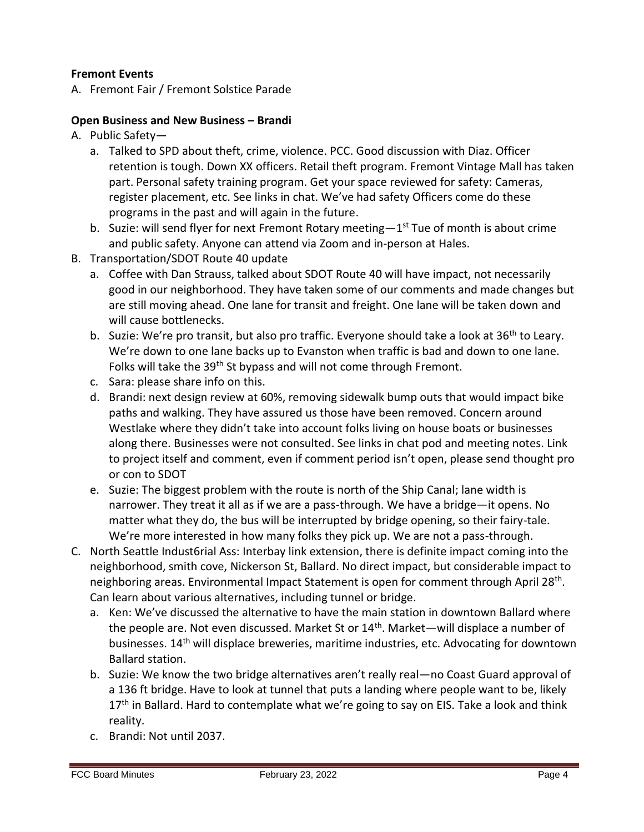### **Fremont Events**

A. Fremont Fair / Fremont Solstice Parade

### **Open Business and New Business – Brandi**

- A. Public Safety
	- a. Talked to SPD about theft, crime, violence. PCC. Good discussion with Diaz. Officer retention is tough. Down XX officers. Retail theft program. Fremont Vintage Mall has taken part. Personal safety training program. Get your space reviewed for safety: Cameras, register placement, etc. See links in chat. We've had safety Officers come do these programs in the past and will again in the future.
	- b. Suzie: will send flyer for next Fremont Rotary meeting—1<sup>st</sup> Tue of month is about crime and public safety. Anyone can attend via Zoom and in-person at Hales.
- B. Transportation/SDOT Route 40 update
	- a. Coffee with Dan Strauss, talked about SDOT Route 40 will have impact, not necessarily good in our neighborhood. They have taken some of our comments and made changes but are still moving ahead. One lane for transit and freight. One lane will be taken down and will cause bottlenecks.
	- b. Suzie: We're pro transit, but also pro traffic. Everyone should take a look at  $36<sup>th</sup>$  to Leary. We're down to one lane backs up to Evanston when traffic is bad and down to one lane. Folks will take the 39<sup>th</sup> St bypass and will not come through Fremont.
	- c. Sara: please share info on this.
	- d. Brandi: next design review at 60%, removing sidewalk bump outs that would impact bike paths and walking. They have assured us those have been removed. Concern around Westlake where they didn't take into account folks living on house boats or businesses along there. Businesses were not consulted. See links in chat pod and meeting notes. Link to project itself and comment, even if comment period isn't open, please send thought pro or con to SDOT
	- e. Suzie: The biggest problem with the route is north of the Ship Canal; lane width is narrower. They treat it all as if we are a pass-through. We have a bridge—it opens. No matter what they do, the bus will be interrupted by bridge opening, so their fairy-tale. We're more interested in how many folks they pick up. We are not a pass-through.
- C. North Seattle Indust6rial Ass: Interbay link extension, there is definite impact coming into the neighborhood, smith cove, Nickerson St, Ballard. No direct impact, but considerable impact to neighboring areas. Environmental Impact Statement is open for comment through April 28<sup>th</sup>. Can learn about various alternatives, including tunnel or bridge.
	- a. Ken: We've discussed the alternative to have the main station in downtown Ballard where the people are. Not even discussed. Market St or  $14<sup>th</sup>$ . Market—will displace a number of businesses. 14<sup>th</sup> will displace breweries, maritime industries, etc. Advocating for downtown Ballard station.
	- b. Suzie: We know the two bridge alternatives aren't really real—no Coast Guard approval of a 136 ft bridge. Have to look at tunnel that puts a landing where people want to be, likely  $17<sup>th</sup>$  in Ballard. Hard to contemplate what we're going to say on EIS. Take a look and think reality.
	- c. Brandi: Not until 2037.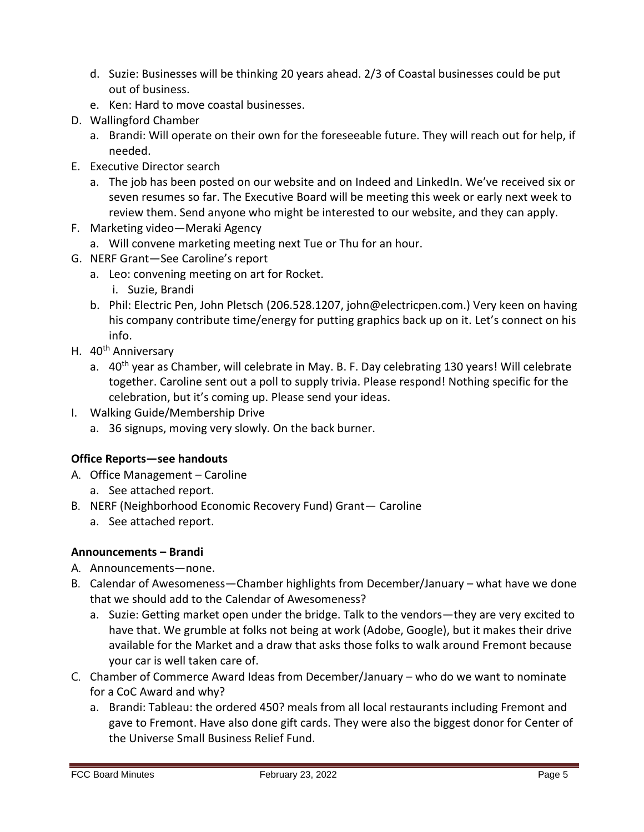- d. Suzie: Businesses will be thinking 20 years ahead. 2/3 of Coastal businesses could be put out of business.
- e. Ken: Hard to move coastal businesses.
- D. Wallingford Chamber
	- a. Brandi: Will operate on their own for the foreseeable future. They will reach out for help, if needed.
- E. Executive Director search
	- a. The job has been posted on our website and on Indeed and LinkedIn. We've received six or seven resumes so far. The Executive Board will be meeting this week or early next week to review them. Send anyone who might be interested to our website, and they can apply.
- F. Marketing video—Meraki Agency
	- a. Will convene marketing meeting next Tue or Thu for an hour.
- G. NERF Grant—See Caroline's report
	- a. Leo: convening meeting on art for Rocket.
		- i. Suzie, Brandi
	- b. Phil: Electric Pen, John Pletsch (206.528.1207, john@electricpen.com.) Very keen on having his company contribute time/energy for putting graphics back up on it. Let's connect on his info.
- H. 40<sup>th</sup> Anniversary
	- a. 40<sup>th</sup> year as Chamber, will celebrate in May. B. F. Day celebrating 130 years! Will celebrate together. Caroline sent out a poll to supply trivia. Please respond! Nothing specific for the celebration, but it's coming up. Please send your ideas.
- I. Walking Guide/Membership Drive
	- a. 36 signups, moving very slowly. On the back burner.

# **Office Reports—see handouts**

- A. Office Management Caroline
	- a. See attached report.
- B. NERF (Neighborhood Economic Recovery Fund) Grant— Caroline
	- a. See attached report.

# **Announcements – Brandi**

- A. Announcements—none.
- B. Calendar of Awesomeness—Chamber highlights from December/January what have we done that we should add to the Calendar of Awesomeness?
	- a. Suzie: Getting market open under the bridge. Talk to the vendors—they are very excited to have that. We grumble at folks not being at work (Adobe, Google), but it makes their drive available for the Market and a draw that asks those folks to walk around Fremont because your car is well taken care of.
- C. Chamber of Commerce Award Ideas from December/January who do we want to nominate for a CoC Award and why?
	- a. Brandi: Tableau: the ordered 450? meals from all local restaurants including Fremont and gave to Fremont. Have also done gift cards. They were also the biggest donor for Center of the Universe Small Business Relief Fund.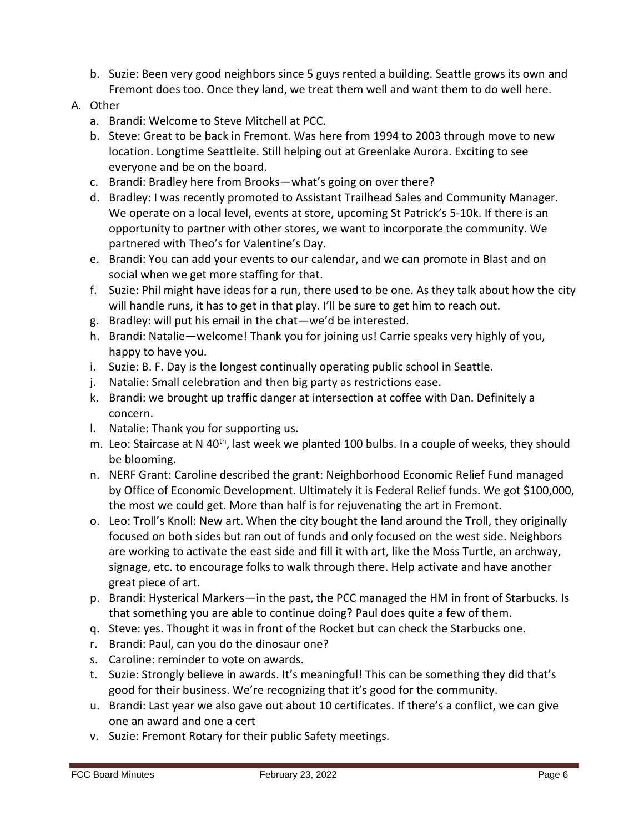b. Suzie: Been very good neighbors since 5 guys rented a building. Seattle grows its own and Fremont does too. Once they land, we treat them well and want them to do well here.

## A. Other

- a. Brandi: Welcome to Steve Mitchell at PCC.
- b. Steve: Great to be back in Fremont. Was here from 1994 to 2003 through move to new location. Longtime Seattleite. Still helping out at Greenlake Aurora. Exciting to see everyone and be on the board.
- c. Brandi: Bradley here from Brooks—what's going on over there?
- d. Bradley: I was recently promoted to Assistant Trailhead Sales and Community Manager. We operate on a local level, events at store, upcoming St Patrick's 5-10k. If there is an opportunity to partner with other stores, we want to incorporate the community. We partnered with Theo's for Valentine's Day.
- e. Brandi: You can add your events to our calendar, and we can promote in Blast and on social when we get more staffing for that.
- f. Suzie: Phil might have ideas for a run, there used to be one. As they talk about how the city will handle runs, it has to get in that play. I'll be sure to get him to reach out.
- g. Bradley: will put his email in the chat—we'd be interested.
- h. Brandi: Natalie—welcome! Thank you for joining us! Carrie speaks very highly of you, happy to have you.
- i. Suzie: B. F. Day is the longest continually operating public school in Seattle.
- j. Natalie: Small celebration and then big party as restrictions ease.
- k. Brandi: we brought up traffic danger at intersection at coffee with Dan. Definitely a concern.
- l. Natalie: Thank you for supporting us.
- m. Leo: Staircase at N 40<sup>th</sup>, last week we planted 100 bulbs. In a couple of weeks, they should be blooming.
- n. NERF Grant: Caroline described the grant: Neighborhood Economic Relief Fund managed by Office of Economic Development. Ultimately it is Federal Relief funds. We got \$100,000, the most we could get. More than half is for rejuvenating the art in Fremont.
- o. Leo: Troll's Knoll: New art. When the city bought the land around the Troll, they originally focused on both sides but ran out of funds and only focused on the west side. Neighbors are working to activate the east side and fill it with art, like the Moss Turtle, an archway, signage, etc. to encourage folks to walk through there. Help activate and have another great piece of art.
- p. Brandi: Hysterical Markers—in the past, the PCC managed the HM in front of Starbucks. Is that something you are able to continue doing? Paul does quite a few of them.
- q. Steve: yes. Thought it was in front of the Rocket but can check the Starbucks one.
- r. Brandi: Paul, can you do the dinosaur one?
- s. Caroline: reminder to vote on awards.
- t. Suzie: Strongly believe in awards. It's meaningful! This can be something they did that's good for their business. We're recognizing that it's good for the community.
- u. Brandi: Last year we also gave out about 10 certificates. If there's a conflict, we can give one an award and one a cert
- v. Suzie: Fremont Rotary for their public Safety meetings.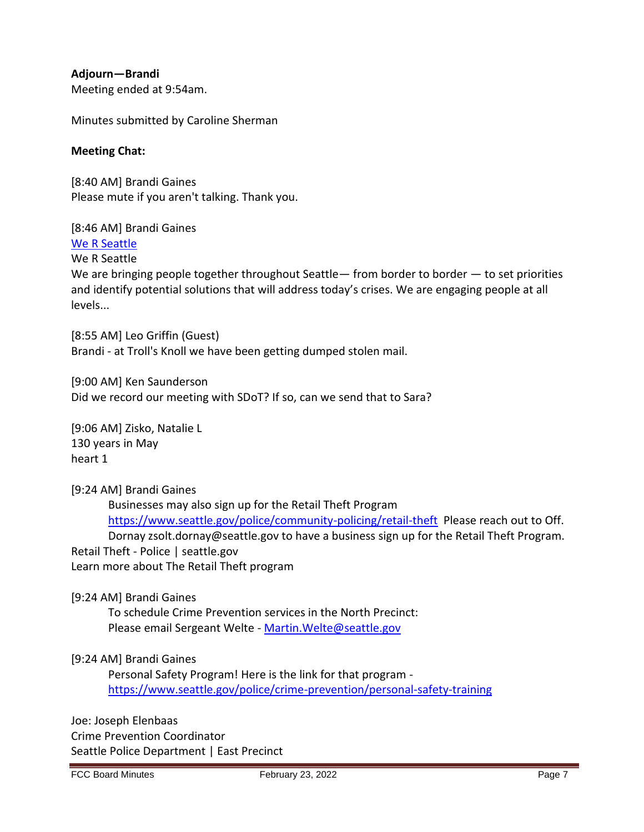**Adjourn—Brandi**  Meeting ended at 9:54am.

Minutes submitted by Caroline Sherman

### **Meeting Chat:**

[8:40 AM] Brandi Gaines Please mute if you aren't talking. Thank you.

[8:46 AM] Brandi Gaines [We R Seattle](https://rseattle.org/)

We R Seattle

We are bringing people together throughout Seattle — from border to border  $-$  to set priorities and identify potential solutions that will address today's crises. We are engaging people at all levels...

[8:55 AM] Leo Griffin (Guest) Brandi - at Troll's Knoll we have been getting dumped stolen mail.

[9:00 AM] Ken Saunderson Did we record our meeting with SDoT? If so, can we send that to Sara?

[9:06 AM] Zisko, Natalie L 130 years in May heart 1

#### [9:24 AM] Brandi Gaines

Businesses may also sign up for the Retail Theft Program <https://www.seattle.gov/police/community-policing/retail-theft> Please reach out to Off. Dornay zsolt.dornay@seattle.gov to have a business sign up for the Retail Theft Program. Retail Theft - Police | seattle.gov Learn more about The Retail Theft program

#### [9:24 AM] Brandi Gaines

To schedule Crime Prevention services in the North Precinct: Please email Sergeant Welte - Martin. Welte@seattle.gov

### [9:24 AM] Brandi Gaines

Personal Safety Program! Here is the link for that program <https://www.seattle.gov/police/crime-prevention/personal-safety-training>

Joe: Joseph Elenbaas Crime Prevention Coordinator Seattle Police Department | East Precinct

FCC Board Minutes February 23, 2022 February 23, 2022